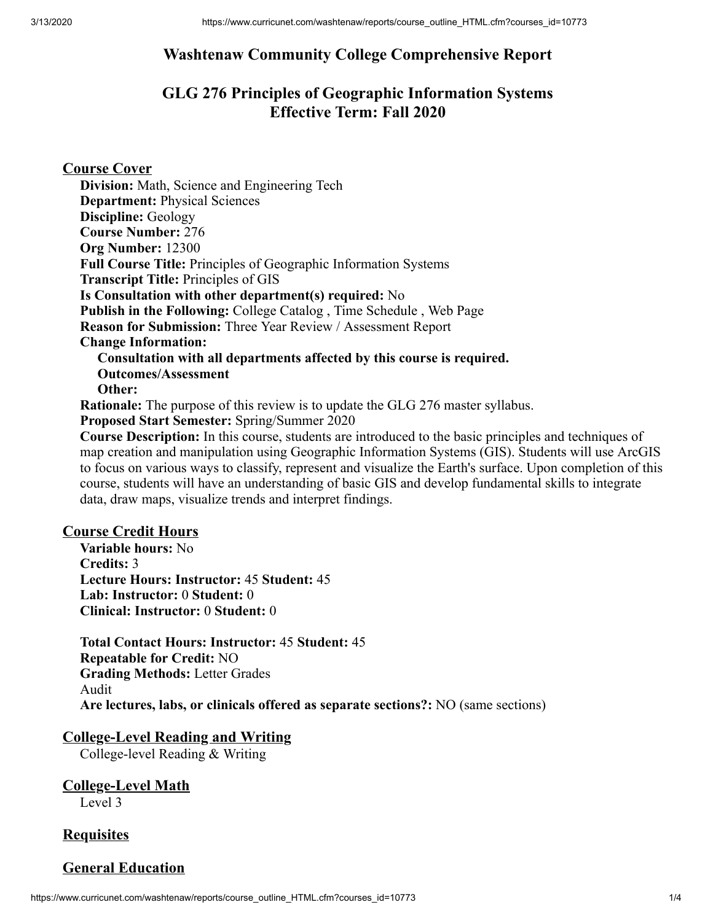# **Washtenaw Community College Comprehensive Report**

# **GLG 276 Principles of Geographic Information Systems Effective Term: Fall 2020**

**Course Cover**

**Division:** Math, Science and Engineering Tech **Department:** Physical Sciences **Discipline:** Geology **Course Number:** 276 **Org Number:** 12300 **Full Course Title:** Principles of Geographic Information Systems **Transcript Title:** Principles of GIS **Is Consultation with other department(s) required:** No **Publish in the Following:** College Catalog , Time Schedule , Web Page **Reason for Submission:** Three Year Review / Assessment Report **Change Information: Consultation with all departments affected by this course is required. Outcomes/Assessment Other: Rationale:** The purpose of this review is to update the GLG 276 master syllabus. **Proposed Start Semester:** Spring/Summer 2020 **Course Description:** In this course, students are introduced to the basic principles and techniques of

map creation and manipulation using Geographic Information Systems (GIS). Students will use ArcGIS to focus on various ways to classify, represent and visualize the Earth's surface. Upon completion of this course, students will have an understanding of basic GIS and develop fundamental skills to integrate data, draw maps, visualize trends and interpret findings.

#### **Course Credit Hours**

**Variable hours:** No **Credits:** 3 **Lecture Hours: Instructor:** 45 **Student:** 45 **Lab: Instructor:** 0 **Student:** 0 **Clinical: Instructor:** 0 **Student:** 0

**Total Contact Hours: Instructor:** 45 **Student:** 45 **Repeatable for Credit:** NO **Grading Methods:** Letter Grades Audit **Are lectures, labs, or clinicals offered as separate sections?:** NO (same sections)

### **College-Level Reading and Writing**

College-level Reading & Writing

**College-Level Math** Level 3

#### **Requisites**

### **General Education**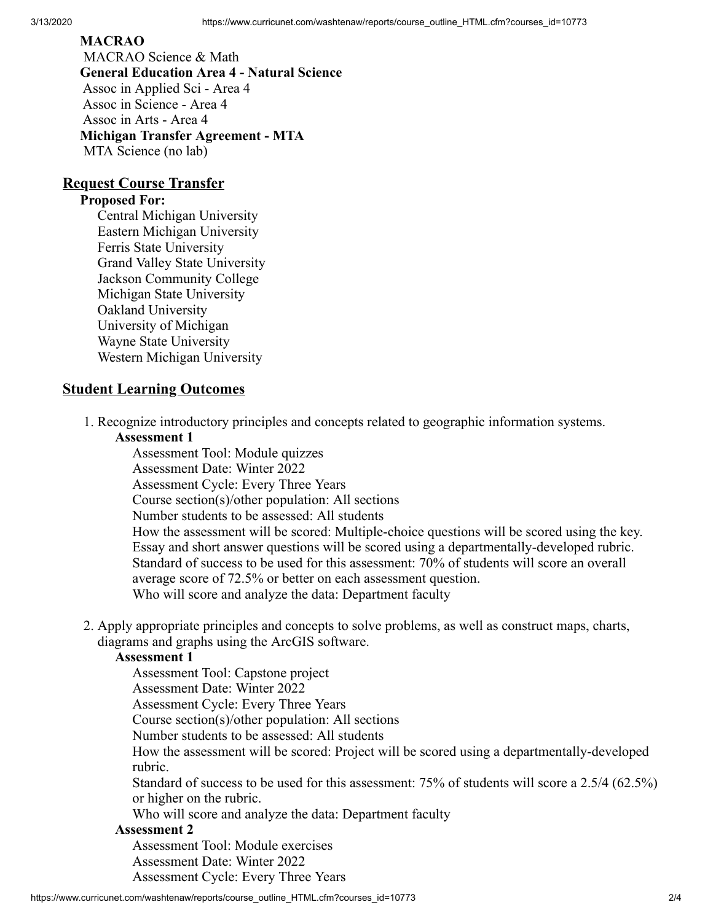#### **MACRAO**

 MACRAO Science & Math **General Education Area 4 - Natural Science** Assoc in Applied Sci - Area 4 Assoc in Science - Area 4 Assoc in Arts - Area 4 **Michigan Transfer Agreement - MTA** MTA Science (no lab)

### **Request Course Transfer**

#### **Proposed For:**

Central Michigan University Eastern Michigan University Ferris State University Grand Valley State University Jackson Community College Michigan State University Oakland University University of Michigan Wayne State University Western Michigan University

### **Student Learning Outcomes**

1. Recognize introductory principles and concepts related to geographic information systems.

#### **Assessment 1**

Assessment Tool: Module quizzes Assessment Date: Winter 2022 Assessment Cycle: Every Three Years Course section(s)/other population: All sections Number students to be assessed: All students How the assessment will be scored: Multiple-choice questions will be scored using the key. Essay and short answer questions will be scored using a departmentally-developed rubric. Standard of success to be used for this assessment: 70% of students will score an overall average score of 72.5% or better on each assessment question. Who will score and analyze the data: Department faculty

2. Apply appropriate principles and concepts to solve problems, as well as construct maps, charts, diagrams and graphs using the ArcGIS software.

#### **Assessment 1**

Assessment Tool: Capstone project

Assessment Date: Winter 2022

Assessment Cycle: Every Three Years

Course section(s)/other population: All sections

Number students to be assessed: All students

How the assessment will be scored: Project will be scored using a departmentally-developed rubric.

Standard of success to be used for this assessment: 75% of students will score a 2.5/4 (62.5%) or higher on the rubric.

Who will score and analyze the data: Department faculty

#### **Assessment 2**

Assessment Tool: Module exercises

Assessment Date: Winter 2022 Assessment Cycle: Every Three Years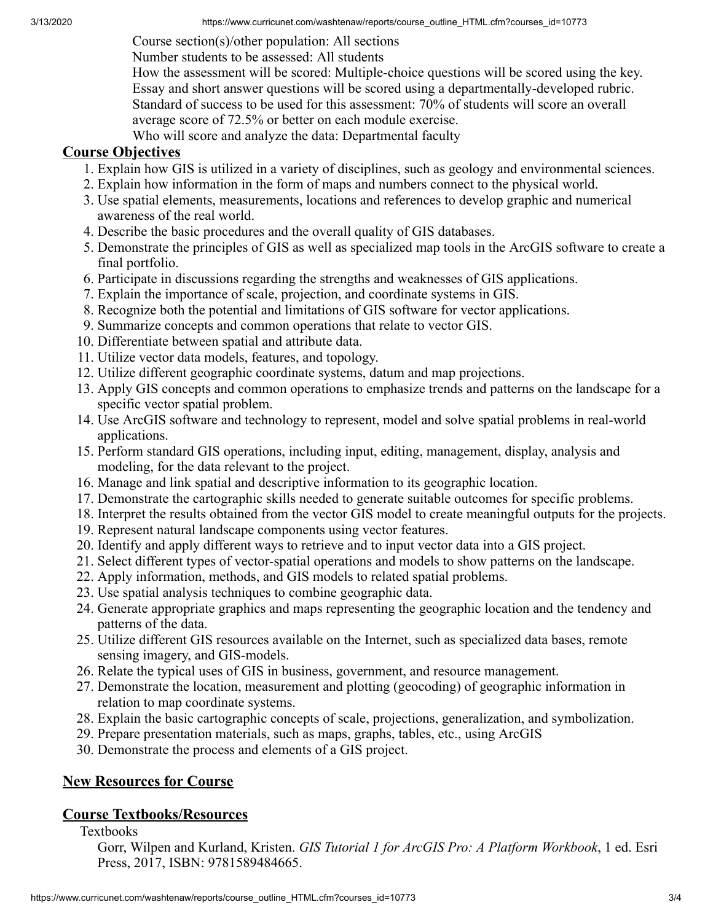Course section(s)/other population: All sections

Number students to be assessed: All students

How the assessment will be scored: Multiple-choice questions will be scored using the key. Essay and short answer questions will be scored using a departmentally-developed rubric. Standard of success to be used for this assessment: 70% of students will score an overall average score of 72.5% or better on each module exercise.

Who will score and analyze the data: Departmental faculty

## **Course Objectives**

- 1. Explain how GIS is utilized in a variety of disciplines, such as geology and environmental sciences.
- 2. Explain how information in the form of maps and numbers connect to the physical world.
- 3. Use spatial elements, measurements, locations and references to develop graphic and numerical awareness of the real world.
- 4. Describe the basic procedures and the overall quality of GIS databases.
- 5. Demonstrate the principles of GIS as well as specialized map tools in the ArcGIS software to create a final portfolio.
- 6. Participate in discussions regarding the strengths and weaknesses of GIS applications.
- 7. Explain the importance of scale, projection, and coordinate systems in GIS.
- 8. Recognize both the potential and limitations of GIS software for vector applications.
- 9. Summarize concepts and common operations that relate to vector GIS.
- 10. Differentiate between spatial and attribute data.
- 11. Utilize vector data models, features, and topology.
- 12. Utilize different geographic coordinate systems, datum and map projections.
- 13. Apply GIS concepts and common operations to emphasize trends and patterns on the landscape for a specific vector spatial problem.
- 14. Use ArcGIS software and technology to represent, model and solve spatial problems in real-world applications.
- 15. Perform standard GIS operations, including input, editing, management, display, analysis and modeling, for the data relevant to the project.
- 16. Manage and link spatial and descriptive information to its geographic location.
- 17. Demonstrate the cartographic skills needed to generate suitable outcomes for specific problems.
- 18. Interpret the results obtained from the vector GIS model to create meaningful outputs for the projects.
- 19. Represent natural landscape components using vector features.
- 20. Identify and apply different ways to retrieve and to input vector data into a GIS project.
- 21. Select different types of vector-spatial operations and models to show patterns on the landscape.
- 22. Apply information, methods, and GIS models to related spatial problems.
- 23. Use spatial analysis techniques to combine geographic data.
- 24. Generate appropriate graphics and maps representing the geographic location and the tendency and patterns of the data.
- 25. Utilize different GIS resources available on the Internet, such as specialized data bases, remote sensing imagery, and GIS-models.
- 26. Relate the typical uses of GIS in business, government, and resource management.
- 27. Demonstrate the location, measurement and plotting (geocoding) of geographic information in relation to map coordinate systems.
- 28. Explain the basic cartographic concepts of scale, projections, generalization, and symbolization.
- 29. Prepare presentation materials, such as maps, graphs, tables, etc., using ArcGIS
- 30. Demonstrate the process and elements of a GIS project.

## **New Resources for Course**

## **Course Textbooks/Resources**

Textbooks

Gorr, Wilpen and Kurland, Kristen. *GIS Tutorial 1 for ArcGIS Pro: A Platform Workbook*, 1 ed. Esri Press, 2017, ISBN: 9781589484665.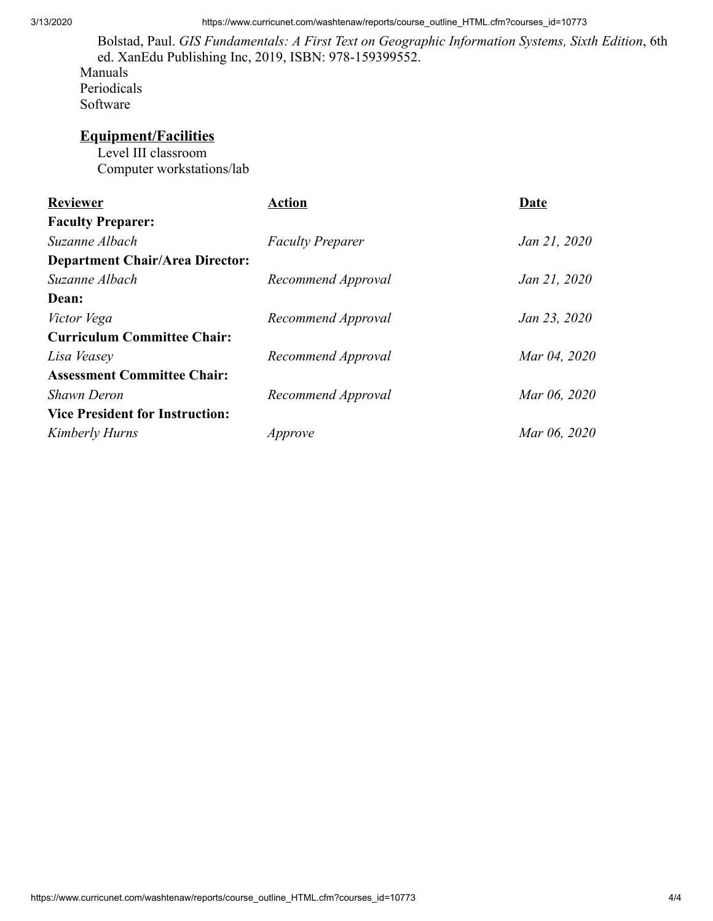3/13/2020 https://www.curricunet.com/washtenaw/reports/course\_outline\_HTML.cfm?courses\_id=10773

Bolstad, Paul. *GIS Fundamentals: A First Text on Geographic Information Systems, Sixth Edition*, 6th ed. XanEdu Publishing Inc, 2019, ISBN: 978-159399552. Manuals

Periodicals Software

## **Equipment/Facilities**

Level III classroom Computer workstations/lab

| <b>Reviewer</b>                        | Action                  | Date         |
|----------------------------------------|-------------------------|--------------|
| <b>Faculty Preparer:</b>               |                         |              |
| Suzanne Albach                         | <b>Faculty Preparer</b> | Jan 21, 2020 |
| <b>Department Chair/Area Director:</b> |                         |              |
| Suzanne Albach                         | Recommend Approval      | Jan 21, 2020 |
| Dean:                                  |                         |              |
| Victor Vega                            | Recommend Approval      | Jan 23, 2020 |
| <b>Curriculum Committee Chair:</b>     |                         |              |
| Lisa Veasey                            | Recommend Approval      | Mar 04, 2020 |
| <b>Assessment Committee Chair:</b>     |                         |              |
| <b>Shawn Deron</b>                     | Recommend Approval      | Mar 06, 2020 |
| <b>Vice President for Instruction:</b> |                         |              |
| Kimberly Hurns                         | Approve                 | Mar 06, 2020 |
|                                        |                         |              |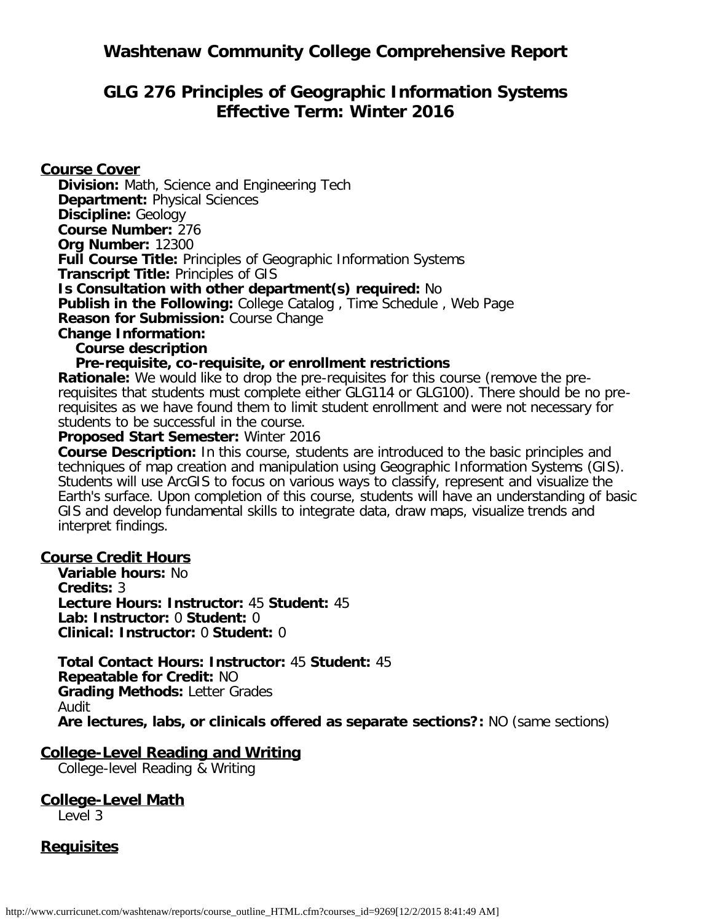# **Washtenaw Community College Comprehensive Report**

# **GLG 276 Principles of Geographic Information Systems Effective Term: Winter 2016**

### **Course Cover**

**Division:** Math, Science and Engineering Tech **Department:** Physical Sciences **Discipline:** Geology **Course Number:** 276 **Org Number:** 12300 **Full Course Title:** Principles of Geographic Information Systems **Transcript Title:** Principles of GIS **Is Consultation with other department(s) required:** No **Publish in the Following:** College Catalog , Time Schedule , Web Page **Reason for Submission:** Course Change **Change Information: Course description**

#### **Pre-requisite, co-requisite, or enrollment restrictions**

**Rationale:** We would like to drop the pre-requisites for this course (remove the prerequisites that students must complete either GLG114 or GLG100). There should be no prerequisites as we have found them to limit student enrollment and were not necessary for students to be successful in the course.

#### **Proposed Start Semester:** Winter 2016

**Course Description:** In this course, students are introduced to the basic principles and techniques of map creation and manipulation using Geographic Information Systems (GIS). Students will use ArcGIS to focus on various ways to classify, represent and visualize the Earth's surface. Upon completion of this course, students will have an understanding of basic GIS and develop fundamental skills to integrate data, draw maps, visualize trends and interpret findings.

#### **Course Credit Hours**

**Variable hours:** No **Credits:** 3 **Lecture Hours: Instructor:** 45 **Student:** 45 **Lab: Instructor:** 0 **Student:** 0 **Clinical: Instructor:** 0 **Student:** 0

**Total Contact Hours: Instructor:** 45 **Student:** 45 **Repeatable for Credit:** NO **Grading Methods:** Letter Grades Audit **Are lectures, labs, or clinicals offered as separate sections?:** NO (same sections)

#### **College-Level Reading and Writing**

College-level Reading & Writing

## **College-Level Math**

Level 3

### **Requisites**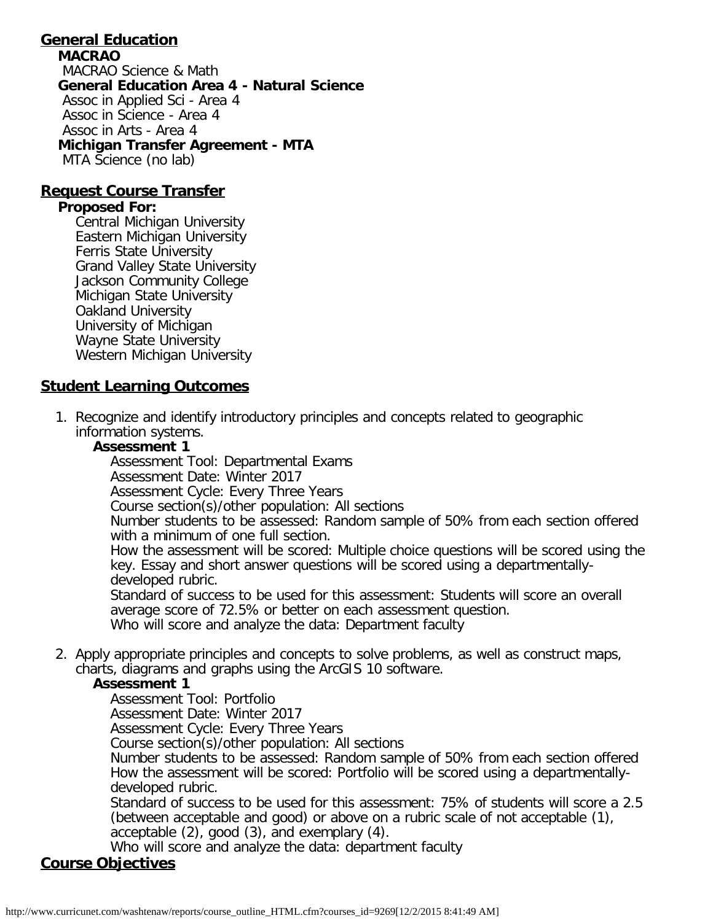#### **General Education MACRAO** MACRAO Science & Math **General Education Area 4 - Natural Science** Assoc in Applied Sci - Area 4 Assoc in Science - Area 4 Assoc in Arts - Area 4 **Michigan Transfer Agreement - MTA** MTA Science (no lab)

### **Request Course Transfer**

#### **Proposed For:**

Central Michigan University Eastern Michigan University Ferris State University Grand Valley State University Jackson Community College Michigan State University Oakland University University of Michigan Wayne State University Western Michigan University

## **Student Learning Outcomes**

1. Recognize and identify introductory principles and concepts related to geographic information systems.

### **Assessment 1**

Assessment Tool: Departmental Exams

Assessment Date: Winter 2017

Assessment Cycle: Every Three Years

Course section(s)/other population: All sections

Number students to be assessed: Random sample of 50% from each section offered with a minimum of one full section.

How the assessment will be scored: Multiple choice questions will be scored using the key. Essay and short answer questions will be scored using a departmentallydeveloped rubric.

Standard of success to be used for this assessment: Students will score an overall average score of 72.5% or better on each assessment question. Who will score and analyze the data: Department faculty

2. Apply appropriate principles and concepts to solve problems, as well as construct maps, charts, diagrams and graphs using the ArcGIS 10 software.

### **Assessment 1**

Assessment Tool: Portfolio

Assessment Date: Winter 2017

Assessment Cycle: Every Three Years

Course section(s)/other population: All sections

Number students to be assessed: Random sample of 50% from each section offered How the assessment will be scored: Portfolio will be scored using a departmentallydeveloped rubric.

Standard of success to be used for this assessment: 75% of students will score a 2.5 (between acceptable and good) or above on a rubric scale of not acceptable (1), acceptable (2), good (3), and exemplary (4).

Who will score and analyze the data: department faculty

# **Course Objectives**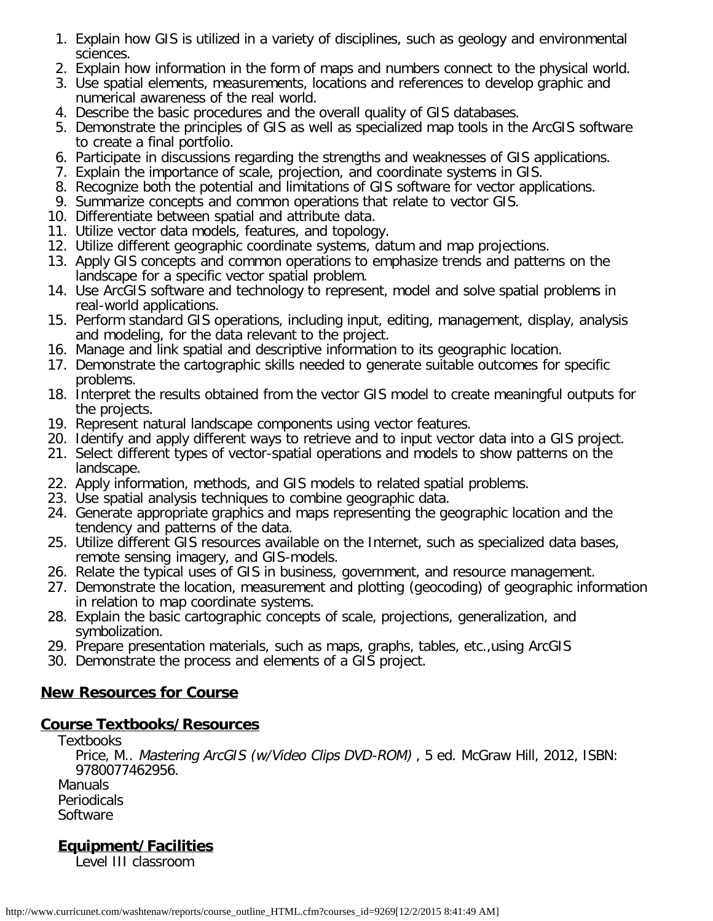- 1. Explain how GIS is utilized in a variety of disciplines, such as geology and environmental sciences.
- 2. Explain how information in the form of maps and numbers connect to the physical world.
- 3. Use spatial elements, measurements, locations and references to develop graphic and numerical awareness of the real world.
- 4. Describe the basic procedures and the overall quality of GIS databases.
- 5. Demonstrate the principles of GIS as well as specialized map tools in the ArcGIS software to create a final portfolio.
- 6. Participate in discussions regarding the strengths and weaknesses of GIS applications.
- 7. Explain the importance of scale, projection, and coordinate systems in GIS.
- 8. Recognize both the potential and limitations of GIS software for vector applications.
- 9. Summarize concepts and common operations that relate to vector GIS.
- 10. Differentiate between spatial and attribute data.
- 11. Utilize vector data models, features, and topology.
- 12. Utilize different geographic coordinate systems, datum and map projections.
- 13. Apply GIS concepts and common operations to emphasize trends and patterns on the landscape for a specific vector spatial problem.
- 14. Use ArcGIS software and technology to represent, model and solve spatial problems in real-world applications.
- 15. Perform standard GIS operations, including input, editing, management, display, analysis and modeling, for the data relevant to the project.
- 16. Manage and link spatial and descriptive information to its geographic location.
- 17. Demonstrate the cartographic skills needed to generate suitable outcomes for specific problems.
- 18. Interpret the results obtained from the vector GIS model to create meaningful outputs for the projects.
- 19. Represent natural landscape components using vector features.
- 20. Identify and apply different ways to retrieve and to input vector data into a GIS project.
- 21. Select different types of vector-spatial operations and models to show patterns on the landscape.
- 22. Apply information, methods, and GIS models to related spatial problems.
- 23. Use spatial analysis techniques to combine geographic data.
- 24. Generate appropriate graphics and maps representing the geographic location and the tendency and patterns of the data.
- 25. Utilize different GIS resources available on the Internet, such as specialized data bases, remote sensing imagery, and GIS-models.
- 26. Relate the typical uses of GIS in business, government, and resource management.
- 27. Demonstrate the location, measurement and plotting (geocoding) of geographic information in relation to map coordinate systems.
- 28. Explain the basic cartographic concepts of scale, projections, generalization, and symbolization.
- 29. Prepare presentation materials, such as maps, graphs, tables, etc.,using ArcGIS
- 30. Demonstrate the process and elements of a GIS project.

# **New Resources for Course**

## **Course Textbooks/Resources**

**Textbooks** Price, M.. Mastering ArcGIS (w/Video Clips DVD-ROM) , 5 ed. McGraw Hill, 2012, ISBN: 9780077462956. Manuals Periodicals

**Software** 

# **Equipment/Facilities**

Level III classroom